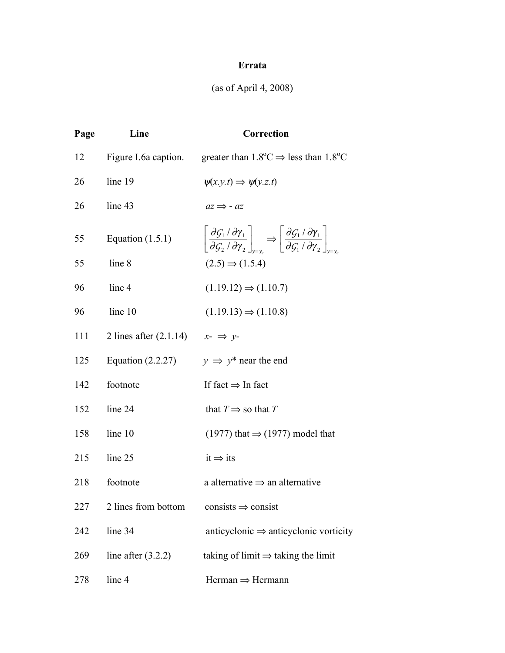## **Errata**

## (as of April 4, 2008)

| Page | Line                                                     | Correction                                                                                                                                                                                                                                                              |
|------|----------------------------------------------------------|-------------------------------------------------------------------------------------------------------------------------------------------------------------------------------------------------------------------------------------------------------------------------|
| 12   |                                                          | Figure I.6a caption. greater than $1.8^{\circ}\text{C} \Rightarrow$ less than $1.8^{\circ}\text{C}$                                                                                                                                                                     |
| 26   | line 19                                                  | $\psi(x,y,t) \Rightarrow \psi(y,z,t)$                                                                                                                                                                                                                                   |
| 26   | line 43                                                  | $az \Rightarrow -az$                                                                                                                                                                                                                                                    |
| 55   | Equation $(1.5.1)$                                       | $\left  \frac{\partial \mathcal{G}_1 / \partial \gamma_1}{\partial \mathcal{G}_2 / \partial \gamma_2} \right _{\gamma=\gamma} \Rightarrow \left  \frac{\partial \mathcal{G}_1 / \partial \gamma_1}{\partial \mathcal{G}_1 / \partial \gamma_2} \right _{\gamma=\gamma}$ |
| 55   | line 8                                                   | $(2.5) \Rightarrow (1.5.4)$                                                                                                                                                                                                                                             |
| 96   | line 4                                                   | $(1.19.12) \Rightarrow (1.10.7)$                                                                                                                                                                                                                                        |
| 96   | line 10                                                  | $(1.19.13) \Rightarrow (1.10.8)$                                                                                                                                                                                                                                        |
| 111  | 2 lines after $(2.1.14)$ $x-\Rightarrow y-\rightarrow y$ |                                                                                                                                                                                                                                                                         |
| 125  | Equation $(2.2.27)$                                      | $y \Rightarrow y^*$ near the end                                                                                                                                                                                                                                        |
| 142  | footnote                                                 | If fact $\Rightarrow$ In fact                                                                                                                                                                                                                                           |
| 152  | line 24                                                  | that $T \implies$ so that T                                                                                                                                                                                                                                             |
| 158  | line 10                                                  | $(1977)$ that $\Rightarrow$ (1977) model that                                                                                                                                                                                                                           |
| 215  | line 25                                                  | $it \Rightarrow its$                                                                                                                                                                                                                                                    |
| 218  | footnote                                                 | a alternative $\Rightarrow$ an alternative                                                                                                                                                                                                                              |
| 227  | 2 lines from bottom                                      | $consists \Rightarrow consist$                                                                                                                                                                                                                                          |
| 242  | line 34                                                  | anticyclonic $\Rightarrow$ anticyclonic vorticity                                                                                                                                                                                                                       |
| 269  | line after $(3.2.2)$                                     | taking of limit $\Rightarrow$ taking the limit                                                                                                                                                                                                                          |
| 278  | line 4                                                   | $Herman \Rightarrow Hermann$                                                                                                                                                                                                                                            |